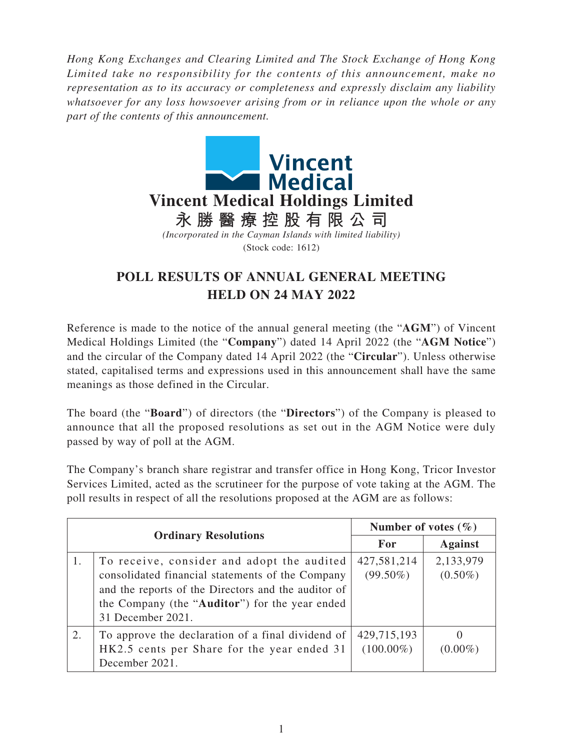*Hong Kong Exchanges and Clearing Limited and The Stock Exchange of Hong Kong Limited take no responsibility for the contents of this announcement, make no representation as to its accuracy or completeness and expressly disclaim any liability whatsoever for any loss howsoever arising from or in reliance upon the whole or any part of the contents of this announcement.*



## **POLL RESULTS OF ANNUAL GENERAL MEETING HELD ON 24 MAY 2022**

Reference is made to the notice of the annual general meeting (the "**AGM**") of Vincent Medical Holdings Limited (the "**Company**") dated 14 April 2022 (the "**AGM Notice**") and the circular of the Company dated 14 April 2022 (the "**Circular**"). Unless otherwise stated, capitalised terms and expressions used in this announcement shall have the same meanings as those defined in the Circular.

The board (the "**Board**") of directors (the "**Directors**") of the Company is pleased to announce that all the proposed resolutions as set out in the AGM Notice were duly passed by way of poll at the AGM.

The Company's branch share registrar and transfer office in Hong Kong, Tricor Investor Services Limited, acted as the scrutineer for the purpose of vote taking at the AGM. The poll results in respect of all the resolutions proposed at the AGM are as follows:

| <b>Ordinary Resolutions</b> |                                                     | Number of votes $(\% )$ |                |
|-----------------------------|-----------------------------------------------------|-------------------------|----------------|
|                             |                                                     | For                     | <b>Against</b> |
|                             | To receive, consider and adopt the audited          | 427,581,214             | 2,133,979      |
|                             | consolidated financial statements of the Company    | $(99.50\%)$             | $(0.50\%)$     |
|                             | and the reports of the Directors and the auditor of |                         |                |
|                             | the Company (the "Auditor") for the year ended      |                         |                |
|                             | 31 December 2021.                                   |                         |                |
| 2.                          | To approve the declaration of a final dividend of   | 429,715,193             | $\theta$       |
|                             | HK2.5 cents per Share for the year ended 31         | $(100.00\%)$            | $(0.00\%)$     |
|                             | December 2021.                                      |                         |                |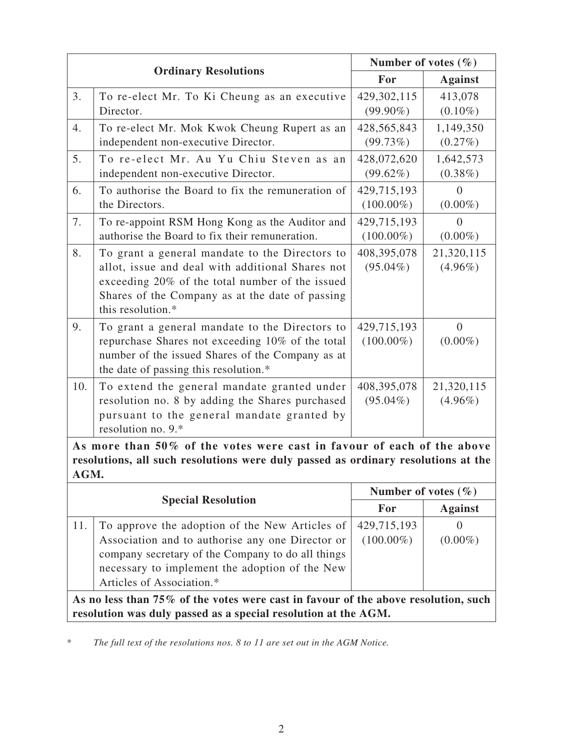|                                                                                                                                                                     |                                                                                                                                                                                                                               | Number of votes $(\% )$     |                              |  |
|---------------------------------------------------------------------------------------------------------------------------------------------------------------------|-------------------------------------------------------------------------------------------------------------------------------------------------------------------------------------------------------------------------------|-----------------------------|------------------------------|--|
|                                                                                                                                                                     | <b>Ordinary Resolutions</b>                                                                                                                                                                                                   |                             | <b>Against</b>               |  |
| 3.                                                                                                                                                                  | To re-elect Mr. To Ki Cheung as an executive<br>Director.                                                                                                                                                                     | 429,302,115<br>$(99.90\%)$  | 413,078<br>$(0.10\%)$        |  |
| 4.                                                                                                                                                                  | To re-elect Mr. Mok Kwok Cheung Rupert as an<br>independent non-executive Director.                                                                                                                                           | 428,565,843<br>(99.73%)     | 1,149,350<br>$(0.27\%)$      |  |
| 5.                                                                                                                                                                  | To re-elect Mr. Au Yu Chiu Steven as an<br>independent non-executive Director.                                                                                                                                                | 428,072,620<br>$(99.62\%)$  | 1,642,573<br>$(0.38\%)$      |  |
| 6.                                                                                                                                                                  | To authorise the Board to fix the remuneration of<br>the Directors.                                                                                                                                                           | 429,715,193<br>$(100.00\%)$ | $\Omega$<br>$(0.00\%)$       |  |
| 7.                                                                                                                                                                  | To re-appoint RSM Hong Kong as the Auditor and<br>authorise the Board to fix their remuneration.                                                                                                                              | 429,715,193<br>$(100.00\%)$ | $\theta$<br>$(0.00\%)$       |  |
| 8.                                                                                                                                                                  | To grant a general mandate to the Directors to<br>allot, issue and deal with additional Shares not<br>exceeding 20% of the total number of the issued<br>Shares of the Company as at the date of passing<br>this resolution.* | 408,395,078<br>$(95.04\%)$  | 21,320,115<br>$(4.96\%)$     |  |
| 9.                                                                                                                                                                  | To grant a general mandate to the Directors to<br>repurchase Shares not exceeding 10% of the total<br>number of the issued Shares of the Company as at<br>the date of passing this resolution.*                               | 429,715,193<br>$(100.00\%)$ | $\overline{0}$<br>$(0.00\%)$ |  |
| 10.                                                                                                                                                                 | To extend the general mandate granted under<br>resolution no. 8 by adding the Shares purchased<br>pursuant to the general mandate granted by<br>resolution no. 9.*                                                            | 408,395,078<br>$(95.04\%)$  | 21,320,115<br>$(4.96\%)$     |  |
| As more than 50% of the votes were cast in favour of each of the above<br>resolutions, all such resolutions were duly passed as ordinary resolutions at the<br>AGM. |                                                                                                                                                                                                                               |                             |                              |  |
| <b>Special Resolution</b>                                                                                                                                           |                                                                                                                                                                                                                               | Number of votes $(\% )$     |                              |  |
|                                                                                                                                                                     |                                                                                                                                                                                                                               | For                         | <b>Against</b>               |  |
| 11.                                                                                                                                                                 | To approve the adoption of the New Articles of<br>Association and to authorise any one Director or<br>company secretary of the Company to do all things                                                                       | 429,715,193<br>$(100.00\%)$ | $\theta$<br>$(0.00\%)$       |  |

Articles of Association.\* **As no less than 75% of the votes were cast in favour of the above resolution, such resolution was duly passed as a special resolution at the AGM.**

\* *The full text of the resolutions nos. 8 to 11 are set out in the AGM Notice.*

necessary to implement the adoption of the New